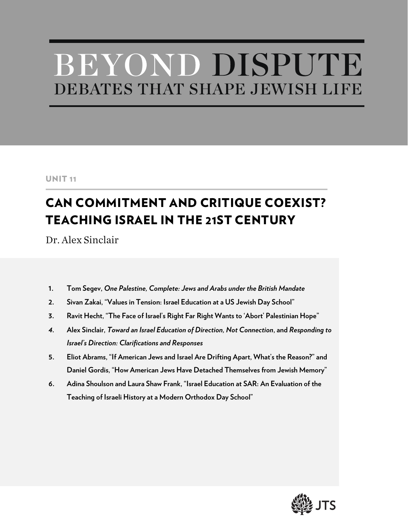# BEYOND DISPUTE DEBATES THAT SHAPE JEWISH LIFE

#### UNIT 11

## CAN COMMITMENT AND CRITIQUE COEXIST? TEACHING ISRAEL IN THE 21ST CENTURY

Dr. Alex Sinclair

- **1. Tom Segev,** *One Palestine, Complete: Jews and Arabs under the British Mandate*
- **2. Sivan Zakai, "Values in Tension: Israel Education at a US Jewish Day School"**
- **3. Ravit Hecht, "The Face of Israel's Right Far Right Wants to 'Abort' Palestinian Hope"**
- *4.* **Alex Sinclair,** *Toward an Israel Education of Direction, Not Connection***, and** *Responding to Israel's Direction: Clarifications and Responses*
- **5. Eliot Abrams, "If American Jews and Israel Are Drifting Apart, What's the Reason?" and Daniel Gordis, "How American Jews Have Detached Themselves from Jewish Memory"**
- **6. Adina Shoulson and Laura Shaw Frank, "Israel Education at SAR: An Evaluation of the Teaching of Israeli History at a Modern Orthodox Day School"**

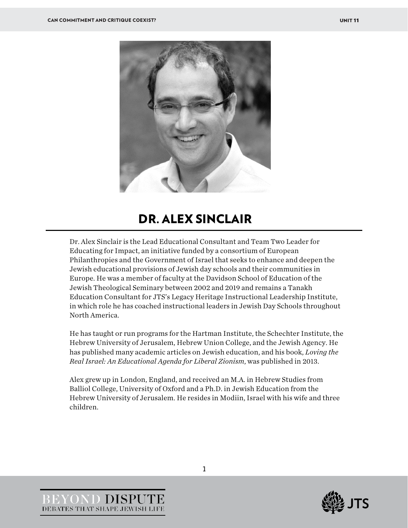

### DR. ALEX SINCLAIR

Dr. Alex Sinclair is the Lead Educational Consultant and Team Two Leader for Educating for Impact, an initiative funded by a consortium of European Philanthropies and the Government of Israel that seeks to enhance and deepen the Jewish educational provisions of Jewish day schools and their communities in Europe. He was a member of faculty at the Davidson School of Education of the Jewish Theological Seminary between 2002 and 2019 and remains a Tanakh Education Consultant for JTS's Legacy Heritage Instructional Leadership Institute, in which role he has coached instructional leaders in Jewish Day Schools throughout North America.

He has taught or run programs for the Hartman Institute, the Schechter Institute, the Hebrew University of Jerusalem, Hebrew Union College, and the Jewish Agency. He has published many academic articles on Jewish education, and his book, *Loving the Real Israel: An Educational Agenda for Liberal Zionism*, was published in 2013.

Alex grew up in London, England, and received an M.A. in Hebrew Studies from Balliol College, University of Oxford and a Ph.D. in Jewish Education from the Hebrew University of Jerusalem. He resides in Modiin, Israel with his wife and three children.



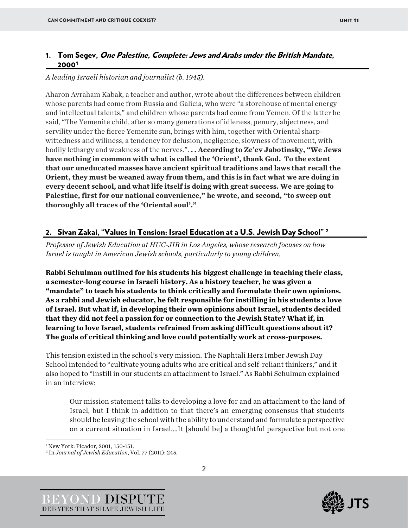#### 1. Tom Segev, One Palestine, Complete: Jews and Arabs under the British Mandate, 2000[1](#page-2-0)

#### *A leading Israeli historian and journalist (b. 1945).*

Aharon Avraham Kabak, a teacher and author, wrote about the differences between children whose parents had come from Russia and Galicia, who were "a storehouse of mental energy and intellectual talents," and children whose parents had come from Yemen. Of the latter he said, "The Yemenite child, after so many generations of idleness, penury, abjectness, and servility under the fierce Yemenite sun, brings with him, together with Oriental sharpwittedness and wiliness, a tendency for delusion, negligence, slowness of movement, with bodily lethargy and weakness of the nerves.". **. . According to Ze'ev Jabotinsky, "We Jews have nothing in common with what is called the 'Orient', thank God. To the extent that our uneducated masses have ancient spiritual traditions and laws that recall the Orient, they must be weaned away from them, and this is in fact what we are doing in every decent school, and what life itself is doing with great success. We are going to Palestine, first for our national convenience," he wrote, and second, "to sweep out thoroughly all traces of the 'Oriental soul'."**

#### 2. Sivan Zakai, "Values in Tension: Israel Education at a U.S. Jewish Day School" [2](#page-2-1)

*Professor of Jewish Education at HUC-JIR in Los Angeles, whose research focuses on how Israel is taught in American Jewish schools, particularly to young children.*

**Rabbi Schulman outlined for his students his biggest challenge in teaching their class, a semester-long course in Israeli history. As a history teacher, he was given a "mandate" to teach his students to think critically and formulate their own opinions. As a rabbi and Jewish educator, he felt responsible for instilling in his students a love of Israel. But what if, in developing their own opinions about Israel, students decided that they did not feel a passion for or connection to the Jewish State? What if, in learning to love Israel, students refrained from asking difficult questions about it? The goals of critical thinking and love could potentially work at cross-purposes.**

This tension existed in the school's very mission. The Naphtali Herz Imber Jewish Day School intended to "cultivate young adults who are critical and self-reliant thinkers," and it also hoped to "instill in our students an attachment to Israel." As Rabbi Schulman explained in an interview:

Our mission statement talks to developing a love for and an attachment to the land of Israel, but I think in addition to that there's an emerging consensus that students should be leaving the school with the ability to understand and formulate a perspective on a current situation in Israel.…It [should be] a thoughtful perspective but not one





<span id="page-2-0"></span><sup>1</sup> New York: Picador, 2001, 150-151.

<span id="page-2-1"></span><sup>2</sup> In *Journal of Jewish Education*, Vol. 77 (2011): 245.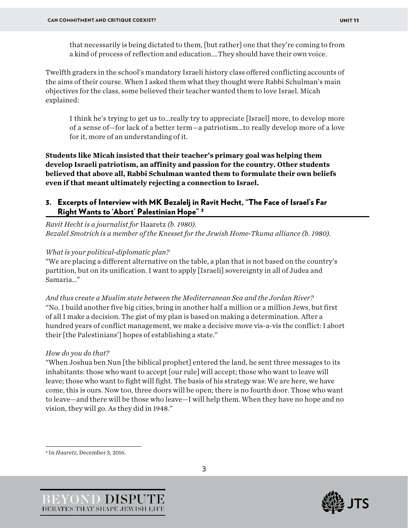that necessarily is being dictated to them, [but rather] one that they're coming to from a kind of process of reflection and education.…They should have their own voice.

Twelfth graders in the school's mandatory Israeli history class offered conflicting accounts of the aims of their course. When I asked them what they thought were Rabbi Schulman's main objectives for the class, some believed their teacher wanted them to love Israel. Micah explained:

I think he's trying to get us to…really try to appreciate [Israel] more, to develop more of a sense of—for lack of a better term—a patriotism…to really develop more of a love for it, more of an understanding of it.

**Students like Micah insisted that their teacher's primary goal was helping them develop Israeli patriotism, an affinity and passion for the country. Other students believed that above all, Rabbi Schulman wanted them to formulate their own beliefs even if that meant ultimately rejecting a connection to Israel.**

#### 3. Excerpts of Interview with MK Bezalelj in Ravit Hecht, "The Face of Israel's Far Right Wants to 'Abort' Palestinian Hope" [3](#page-3-0)

*Ravit Hecht is a journalist for* Haaretz *(b. 1980). Bezalel Smotrich is a member of the Knesset for the Jewish Home-Tkuma alliance (b. 1980).* 

*What is your political-diplomatic plan?*

"We are placing a different alternative on the table, a plan that is not based on the country's partition, but on its unification. I want to apply [Israeli] sovereignty in all of Judea and Samaria…"

*And thus create a Muslim state between the Mediterranean Sea and the Jordan River?* "No. I build another five big cities, bring in another half a million or a million Jews, but first of all I make a decision. The gist of my plan is based on making a determination. After a hundred years of conflict management, we make a decisive move vis-a-vis the conflict: I abort their [the Palestinians'] hopes of establishing a state."

#### *How do you do that?*

"When Joshua ben Nun [the biblical prophet] entered the land, he sent three messages to its inhabitants: those who want to accept [our rule] will accept; those who want to leave will leave; those who want to fight will fight. The basis of his strategy was: We are here, we have come, this is ours. Now too, three doors will be open; there is no fourth door. Those who want to leave—and there will be those who leave—I will help them. When they have no hope and no vision, they will go. As they did in 1948."

<span id="page-3-0"></span><sup>3</sup> In *Haaretz*, December 3, 2016.



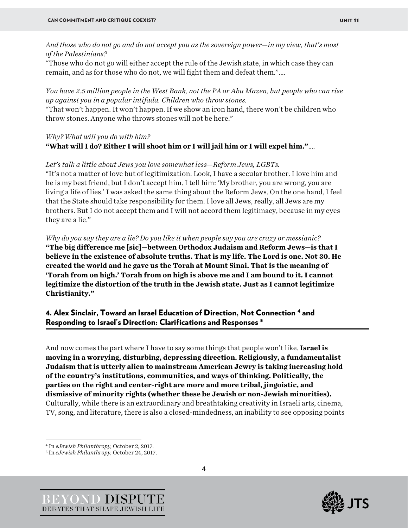*And those who do not go and do not accept you as the sovereign power—in my view, that's most of the Palestinians?*

"Those who do not go will either accept the rule of the Jewish state, in which case they can remain, and as for those who do not, we will fight them and defeat them."….

*You have 2.5 million people in the West Bank, not the PA or Abu Mazen, but people who can rise up against you in a popular intifada. Children who throw stones.* "That won't happen. It won't happen. If we show an iron hand, there won't be children who throw stones. Anyone who throws stones will not be here."

#### *Why? What will you do with him?* **"What will I do? Either I will shoot him or I will jail him or I will expel him."**….

*Let's talk a little about Jews you love somewhat less—Reform Jews, LGBTs.* "It's not a matter of love but of legitimization. Look, I have a secular brother. I love him and he is my best friend, but I don't accept him. I tell him: 'My brother, you are wrong, you are living a life of lies.' I was asked the same thing about the Reform Jews. On the one hand, I feel that the State should take responsibility for them. I love all Jews, really, all Jews are my brothers. But I do not accept them and I will not accord them legitimacy, because in my eyes they are a lie."

*Why do you say they are a lie? Do you like it when people say you are crazy or messianic?* **"The big difference me [sic]—between Orthodox Judaism and Reform Jews—is that I believe in the existence of absolute truths. That is my life. The Lord is one. Not 30. He created the world and he gave us the Torah at Mount Sinai. That is the meaning of 'Torah from on high.' Torah from on high is above me and I am bound to it. I cannot legitimize the distortion of the truth in the Jewish state. Just as I cannot legitimize Christianity."**

#### 4. Alex Sinclair, Toward an Israel Education of Direction, Not Connection [4](#page-4-0) and Responding to Israel's Direction: Clarifications and Responses [5](#page-4-1)

And now comes the part where I have to say some things that people won't like. **Israel is moving in a worrying, disturbing, depressing direction. Religiously, a fundamentalist Judaism that is utterly alien to mainstream American Jewry is taking increasing hold of the country's institutions, communities, and ways of thinking. Politically, the parties on the right and center-right are more and more tribal, jingoistic, and dismissive of minority rights (whether these be Jewish or non-Jewish minorities).** Culturally, while there is an extraordinary and breathtaking creativity in Israeli arts, cinema, TV, song, and literature, there is also a closed-mindedness, an inability to see opposing points





<span id="page-4-0"></span><sup>4</sup> In *eJewish Philanthropy,* October 2, 2017. 5 In *eJewish Philanthropy,* October 24, 2017.

<span id="page-4-1"></span>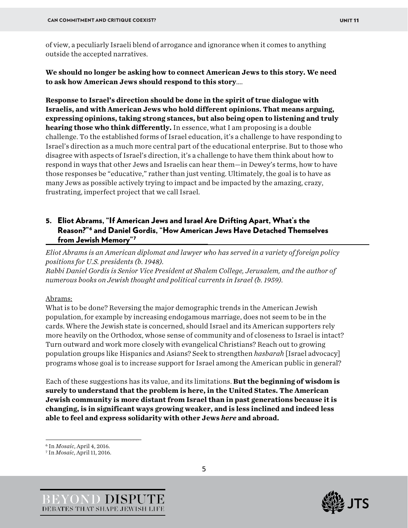of view, a peculiarly Israeli blend of arrogance and ignorance when it comes to anything outside the accepted narratives.

**We should no longer be asking how to connect American Jews to this story. We need to ask how American Jews should respond to this story**….

**Response to Israel's direction should be done in the spirit of true dialogue with Israelis, and with American Jews who hold different opinions. That means arguing, expressing opinions, taking strong stances, but also being open to listening and truly hearing those who think differently.** In essence, what I am proposing is a double challenge. To the established forms of Israel education, it's a challenge to have responding to Israel's direction as a much more central part of the educational enterprise. But to those who disagree with aspects of Israel's direction, it's a challenge to have them think about how to respond in ways that other Jews and Israelis can hear them—in Dewey's terms, how to have those responses be "educative," rather than just venting. Ultimately, the goal is to have as many Jews as possible actively trying to impact and be impacted by the amazing, crazy, frustrating, imperfect project that we call Israel.

#### 5. Eliot Abrams, "If American Jews and Israel Are Drifting Apart, What's the Reason?"[6](#page-5-0) and Daniel Gordis, "How American Jews Have Detached Themselves from Jewish Memory"[7](#page-5-1)

*Eliot Abrams is an American diplomat and lawyer who has served in a variety of foreign policy positions for U.S. presidents (b. 1948).*

*Rabbi Daniel Gordis is Senior Vice President at Shalem College, Jerusalem, and the author of numerous books on Jewish thought and political currents in Israel (b. 1959).* 

#### Abrams:

What is to be done? Reversing the major demographic trends in the American Jewish population, for example by increasing endogamous marriage, does not seem to be in the cards. Where the Jewish state is concerned, should Israel and its American supporters rely more heavily on the Orthodox, whose sense of community and of closeness to Israel is intact? Turn outward and work more closely with evangelical Christians? Reach out to growing population groups like Hispanics and Asians? Seek to strengthen *hasbarah* [Israel advocacy] programs whose goal is to increase support for Israel among the American public in general?

Each of these suggestions has its value, and its limitations. **But the beginning of wisdom is surely to understand that the problem is here, in the United States. The American Jewish community is more distant from Israel than in past generations because it is changing, is in significant ways growing weaker, and is less inclined and indeed less able to feel and express solidarity with other Jews** *here* **and abroad.**





<span id="page-5-0"></span><sup>6</sup> In *Mosaic*, April 4, 2016.

<span id="page-5-1"></span><sup>7</sup> In *Mosaic*, April 11, 2016.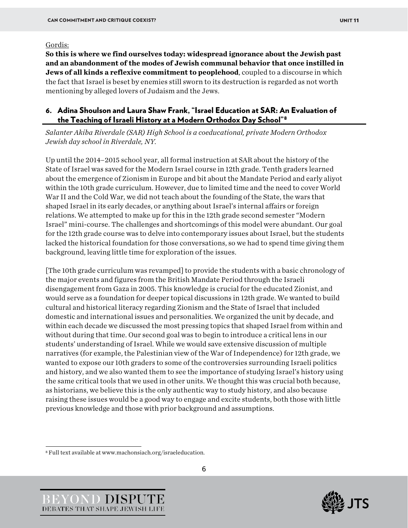#### Gordis:

**So this is where we find ourselves today: widespread ignorance about the Jewish past and an abandonment of the modes of Jewish communal behavior that once instilled in Jews of all kinds a reflexive commitment to peoplehood**, coupled to a discourse in which the fact that Israel is beset by enemies still sworn to its destruction is regarded as not worth mentioning by alleged lovers of Judaism and the Jews.

#### 6. Adina Shoulson and Laura Shaw Frank, "Israel Education at SAR: An Evaluation of the Teaching of Israeli History at a Modern Orthodox Day School"[8](#page-6-0)

*Salanter Akiba Riverdale (SAR) High School is a coeducational, private Modern Orthodox Jewish day school in Riverdale, NY.*

Up until the 2014–2015 school year, all formal instruction at SAR about the history of the State of Israel was saved for the Modern Israel course in 12th grade. Tenth graders learned about the emergence of Zionism in Europe and bit about the Mandate Period and early aliyot within the 10th grade curriculum. However, due to limited time and the need to cover World War II and the Cold War, we did not teach about the founding of the State, the wars that shaped Israel in its early decades, or anything about Israel's internal affairs or foreign relations. We attempted to make up for this in the 12th grade second semester "Modern Israel" mini-course. The challenges and shortcomings of this model were abundant. Our goal for the 12th grade course was to delve into contemporary issues about Israel, but the students lacked the historical foundation for those conversations, so we had to spend time giving them background, leaving little time for exploration of the issues.

[The 10th grade curriculum was revamped] to provide the students with a basic chronology of the major events and figures from the British Mandate Period through the Israeli disengagement from Gaza in 2005. This knowledge is crucial for the educated Zionist, and would serve as a foundation for deeper topical discussions in 12th grade. We wanted to build cultural and historical literacy regarding Zionism and the State of Israel that included domestic and international issues and personalities. We organized the unit by decade, and within each decade we discussed the most pressing topics that shaped Israel from within and without during that time. Our second goal was to begin to introduce a critical lens in our students' understanding of Israel. While we would save extensive discussion of multiple narratives (for example, the Palestinian view of the War of Independence) for 12th grade, we wanted to expose our 10th graders to some of the controversies surrounding Israeli politics and history, and we also wanted them to see the importance of studying Israel's history using the same critical tools that we used in other units. We thought this was crucial both because, as historians, we believe this is the only authentic way to study history, and also because raising these issues would be a good way to engage and excite students, both those with little previous knowledge and those with prior background and assumptions.



<span id="page-6-0"></span><sup>8</sup> Full text available at www.machonsiach.org/israeleducation.